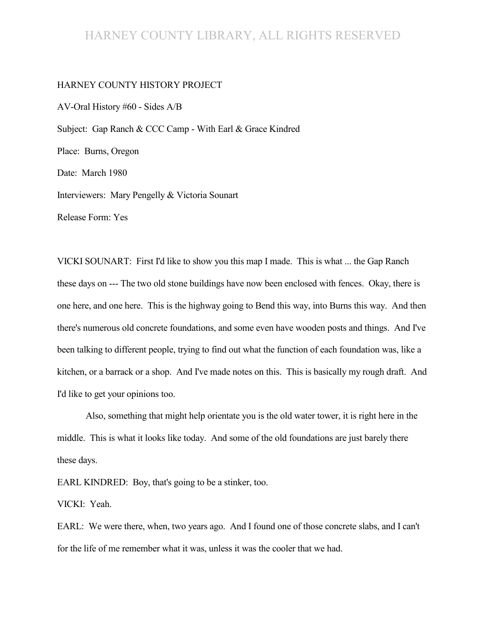#### HARNEY COUNTY LIBRARY, ALL RIGHTS RESERVED

#### HARNEY COUNTY HISTORY PROJECT

AV-Oral History #60 - Sides A/B Subject: Gap Ranch & CCC Camp - With Earl & Grace Kindred Place: Burns, Oregon Date: March 1980 Interviewers: Mary Pengelly & Victoria Sounart Release Form: Yes

VICKI SOUNART: First I'd like to show you this map I made. This is what ... the Gap Ranch these days on --- The two old stone buildings have now been enclosed with fences. Okay, there is one here, and one here. This is the highway going to Bend this way, into Burns this way. And then there's numerous old concrete foundations, and some even have wooden posts and things. And I've been talking to different people, trying to find out what the function of each foundation was, like a kitchen, or a barrack or a shop. And I've made notes on this. This is basically my rough draft. And I'd like to get your opinions too.

Also, something that might help orientate you is the old water tower, it is right here in the middle. This is what it looks like today. And some of the old foundations are just barely there these days.

EARL KINDRED: Boy, that's going to be a stinker, too.

VICKI: Yeah.

EARL: We were there, when, two years ago. And I found one of those concrete slabs, and I can't for the life of me remember what it was, unless it was the cooler that we had.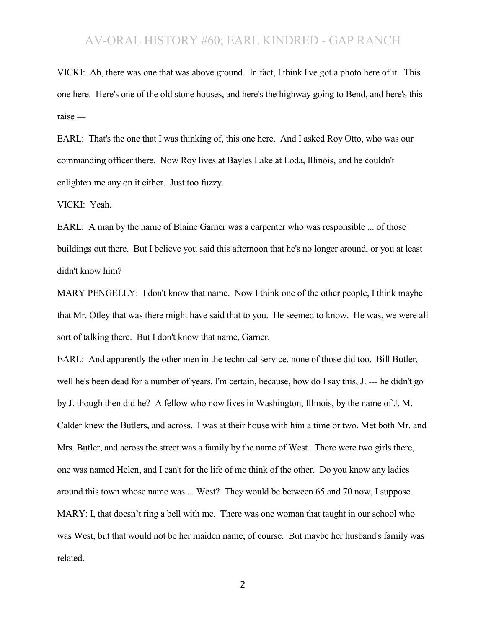VICKI: Ah, there was one that was above ground. In fact, I think I've got a photo here of it. This one here. Here's one of the old stone houses, and here's the highway going to Bend, and here's this raise ---

EARL: That's the one that I was thinking of, this one here. And I asked Roy Otto, who was our commanding officer there. Now Roy lives at Bayles Lake at Loda, Illinois, and he couldn't enlighten me any on it either. Just too fuzzy.

VICKI: Yeah.

EARL: A man by the name of Blaine Garner was a carpenter who was responsible ... of those buildings out there. But I believe you said this afternoon that he's no longer around, or you at least didn't know him?

MARY PENGELLY: I don't know that name. Now I think one of the other people, I think maybe that Mr. Otley that was there might have said that to you. He seemed to know. He was, we were all sort of talking there. But I don't know that name, Garner.

EARL: And apparently the other men in the technical service, none of those did too. Bill Butler, well he's been dead for a number of years, I'm certain, because, how do I say this, J. --- he didn't go by J. though then did he? A fellow who now lives in Washington, Illinois, by the name of J. M. Calder knew the Butlers, and across. I was at their house with him a time or two. Met both Mr. and Mrs. Butler, and across the street was a family by the name of West. There were two girls there, one was named Helen, and I can't for the life of me think of the other. Do you know any ladies around this town whose name was ... West? They would be between 65 and 70 now, I suppose. MARY: I, that doesn't ring a bell with me. There was one woman that taught in our school who was West, but that would not be her maiden name, of course. But maybe her husband's family was related.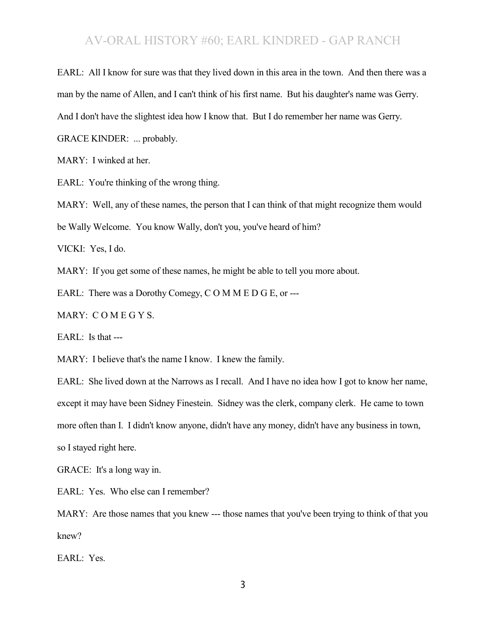EARL: All I know for sure was that they lived down in this area in the town. And then there was a

man by the name of Allen, and I can't think of his first name. But his daughter's name was Gerry.

And I don't have the slightest idea how I know that. But I do remember her name was Gerry.

GRACE KINDER: ... probably.

MARY: I winked at her.

EARL: You're thinking of the wrong thing.

MARY: Well, any of these names, the person that I can think of that might recognize them would

be Wally Welcome. You know Wally, don't you, you've heard of him?

VICKI: Yes, I do.

MARY: If you get some of these names, he might be able to tell you more about.

EARL: There was a Dorothy Comegy, C O M M E D G E, or ---

MARY: C O M E G Y S.

EARL: Is that ---

MARY: I believe that's the name I know. I knew the family.

EARL: She lived down at the Narrows as I recall. And I have no idea how I got to know her name, except it may have been Sidney Finestein. Sidney was the clerk, company clerk. He came to town more often than I. I didn't know anyone, didn't have any money, didn't have any business in town, so I stayed right here.

GRACE: It's a long way in.

EARL: Yes. Who else can I remember?

MARY: Are those names that you knew --- those names that you've been trying to think of that you knew?

EARL: Yes.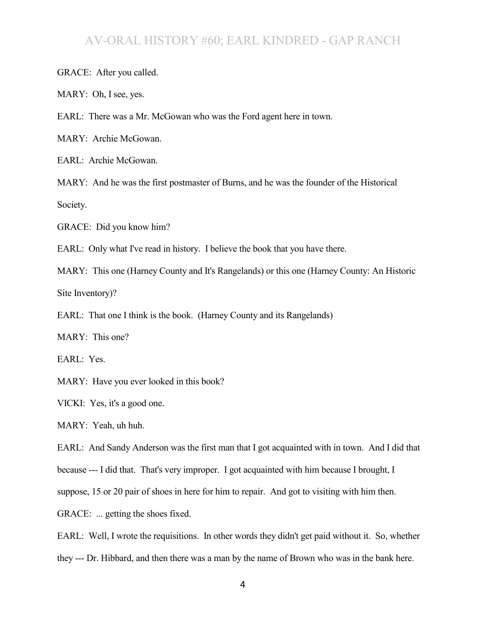GRACE: After you called.

MARY: Oh, I see, yes.

EARL: There was a Mr. McGowan who was the Ford agent here in town.

MARY: Archie McGowan.

EARL: Archie McGowan.

MARY: And he was the first postmaster of Burns, and he was the founder of the Historical Society.

GRACE: Did you know him?

EARL: Only what I've read in history. I believe the book that you have there.

MARY: This one (Harney County and It's Rangelands) or this one (Harney County: An Historic Site Inventory)?

EARL: That one I think is the book. (Harney County and its Rangelands)

MARY: This one?

EARL: Yes.

MARY: Have you ever looked in this book?

VICKI: Yes, it's a good one.

MARY: Yeah, uh huh.

EARL: And Sandy Anderson was the first man that I got acquainted with in town. And I did that

because --- I did that. That's very improper. I got acquainted with him because I brought, I

suppose, 15 or 20 pair of shoes in here for him to repair. And got to visiting with him then.

GRACE: ... getting the shoes fixed.

EARL: Well, I wrote the requisitions. In other words they didn't get paid without it. So, whether they --- Dr. Hibbard, and then there was a man by the name of Brown who was in the bank here.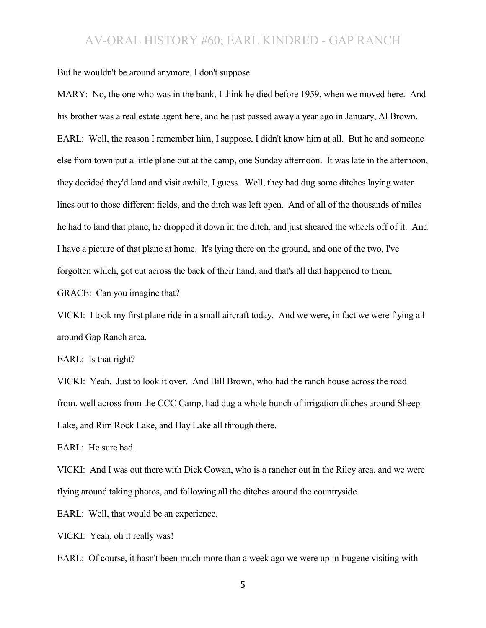But he wouldn't be around anymore, I don't suppose.

MARY: No, the one who was in the bank, I think he died before 1959, when we moved here. And his brother was a real estate agent here, and he just passed away a year ago in January, Al Brown. EARL: Well, the reason I remember him, I suppose, I didn't know him at all. But he and someone else from town put a little plane out at the camp, one Sunday afternoon. It was late in the afternoon, they decided they'd land and visit awhile, I guess. Well, they had dug some ditches laying water lines out to those different fields, and the ditch was left open. And of all of the thousands of miles he had to land that plane, he dropped it down in the ditch, and just sheared the wheels off of it. And I have a picture of that plane at home. It's lying there on the ground, and one of the two, I've forgotten which, got cut across the back of their hand, and that's all that happened to them.

GRACE: Can you imagine that?

VICKI: I took my first plane ride in a small aircraft today. And we were, in fact we were flying all around Gap Ranch area.

EARL: Is that right?

VICKI: Yeah. Just to look it over. And Bill Brown, who had the ranch house across the road from, well across from the CCC Camp, had dug a whole bunch of irrigation ditches around Sheep Lake, and Rim Rock Lake, and Hay Lake all through there.

EARL: He sure had.

VICKI: And I was out there with Dick Cowan, who is a rancher out in the Riley area, and we were flying around taking photos, and following all the ditches around the countryside.

EARL: Well, that would be an experience.

VICKI: Yeah, oh it really was!

EARL: Of course, it hasn't been much more than a week ago we were up in Eugene visiting with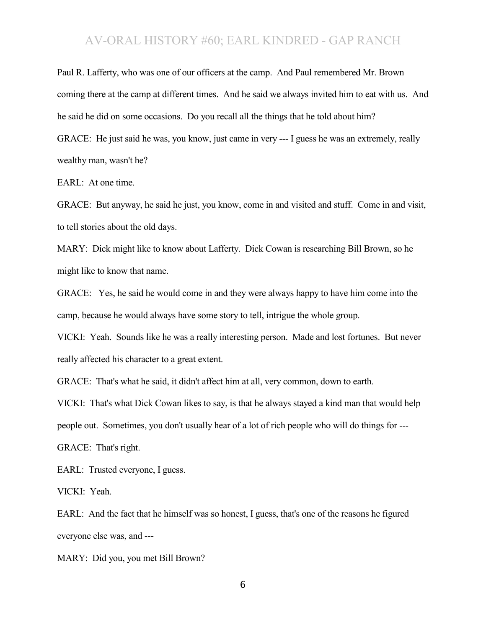Paul R. Lafferty, who was one of our officers at the camp. And Paul remembered Mr. Brown coming there at the camp at different times. And he said we always invited him to eat with us. And he said he did on some occasions. Do you recall all the things that he told about him? GRACE: He just said he was, you know, just came in very --- I guess he was an extremely, really wealthy man, wasn't he?

EARL: At one time.

GRACE: But anyway, he said he just, you know, come in and visited and stuff. Come in and visit, to tell stories about the old days.

MARY: Dick might like to know about Lafferty. Dick Cowan is researching Bill Brown, so he might like to know that name.

GRACE: Yes, he said he would come in and they were always happy to have him come into the camp, because he would always have some story to tell, intrigue the whole group.

VICKI: Yeah. Sounds like he was a really interesting person. Made and lost fortunes. But never really affected his character to a great extent.

GRACE: That's what he said, it didn't affect him at all, very common, down to earth.

VICKI: That's what Dick Cowan likes to say, is that he always stayed a kind man that would help

people out. Sometimes, you don't usually hear of a lot of rich people who will do things for ---

GRACE: That's right.

EARL: Trusted everyone, I guess.

VICKI: Yeah.

EARL: And the fact that he himself was so honest, I guess, that's one of the reasons he figured everyone else was, and ---

MARY: Did you, you met Bill Brown?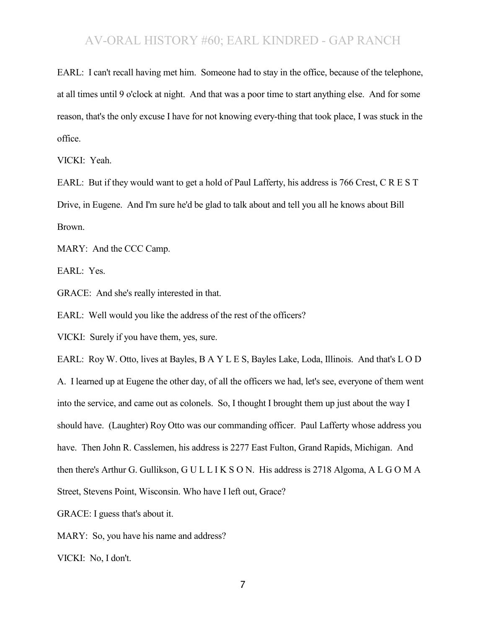EARL: I can't recall having met him. Someone had to stay in the office, because of the telephone, at all times until 9 o'clock at night. And that was a poor time to start anything else. And for some reason, that's the only excuse I have for not knowing every-thing that took place, I was stuck in the office.

VICKI: Yeah.

EARL: But if they would want to get a hold of Paul Lafferty, his address is 766 Crest, C R E S T Drive, in Eugene. And I'm sure he'd be glad to talk about and tell you all he knows about Bill Brown.

MARY: And the CCC Camp.

EARL: Yes.

GRACE: And she's really interested in that.

EARL: Well would you like the address of the rest of the officers?

VICKI: Surely if you have them, yes, sure.

EARL: Roy W. Otto, lives at Bayles, B A Y L E S, Bayles Lake, Loda, Illinois. And that's L O D A. I learned up at Eugene the other day, of all the officers we had, let's see, everyone of them went into the service, and came out as colonels. So, I thought I brought them up just about the way I should have. (Laughter) Roy Otto was our commanding officer. Paul Lafferty whose address you have. Then John R. Casslemen, his address is 2277 East Fulton, Grand Rapids, Michigan. And then there's Arthur G. Gullikson, G U L L I K S O N. His address is 2718 Algoma, A L G O M A Street, Stevens Point, Wisconsin. Who have I left out, Grace?

GRACE: I guess that's about it.

MARY: So, you have his name and address?

VICKI: No, I don't.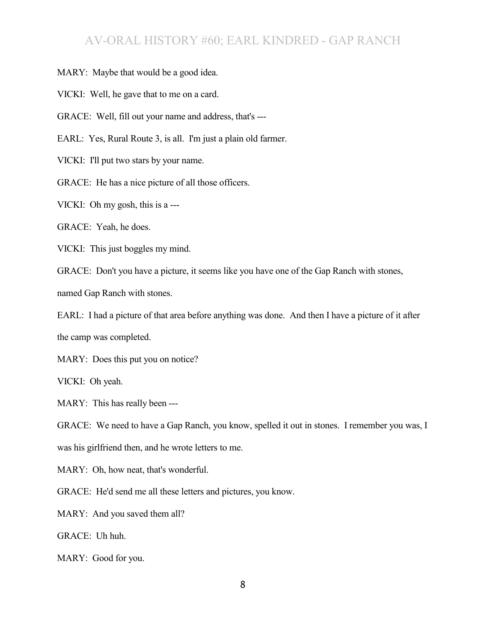MARY: Maybe that would be a good idea.

VICKI: Well, he gave that to me on a card.

GRACE: Well, fill out your name and address, that's ---

EARL: Yes, Rural Route 3, is all. I'm just a plain old farmer.

VICKI: I'll put two stars by your name.

GRACE: He has a nice picture of all those officers.

VICKI: Oh my gosh, this is a ---

GRACE: Yeah, he does.

VICKI: This just boggles my mind.

GRACE: Don't you have a picture, it seems like you have one of the Gap Ranch with stones,

named Gap Ranch with stones.

EARL: I had a picture of that area before anything was done. And then I have a picture of it after the camp was completed.

MARY: Does this put you on notice?

VICKI: Oh yeah.

MARY: This has really been ---

GRACE: We need to have a Gap Ranch, you know, spelled it out in stones. I remember you was, I was his girlfriend then, and he wrote letters to me.

MARY: Oh, how neat, that's wonderful.

GRACE: He'd send me all these letters and pictures, you know.

MARY: And you saved them all?

GRACE: Uh huh.

MARY: Good for you.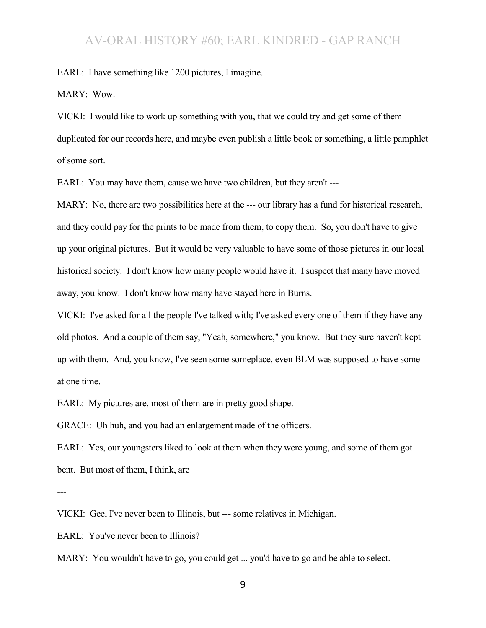EARL: I have something like 1200 pictures, I imagine.

MARY: Wow.

VICKI: I would like to work up something with you, that we could try and get some of them duplicated for our records here, and maybe even publish a little book or something, a little pamphlet of some sort.

EARL: You may have them, cause we have two children, but they aren't ---

MARY: No, there are two possibilities here at the --- our library has a fund for historical research, and they could pay for the prints to be made from them, to copy them. So, you don't have to give up your original pictures. But it would be very valuable to have some of those pictures in our local historical society. I don't know how many people would have it. I suspect that many have moved away, you know. I don't know how many have stayed here in Burns.

VICKI: I've asked for all the people I've talked with; I've asked every one of them if they have any old photos. And a couple of them say, "Yeah, somewhere," you know. But they sure haven't kept up with them. And, you know, I've seen some someplace, even BLM was supposed to have some at one time.

EARL: My pictures are, most of them are in pretty good shape.

GRACE: Uh huh, and you had an enlargement made of the officers.

EARL: Yes, our youngsters liked to look at them when they were young, and some of them got bent. But most of them, I think, are

---

VICKI: Gee, I've never been to Illinois, but --- some relatives in Michigan.

EARL: You've never been to Illinois?

MARY: You wouldn't have to go, you could get ... you'd have to go and be able to select.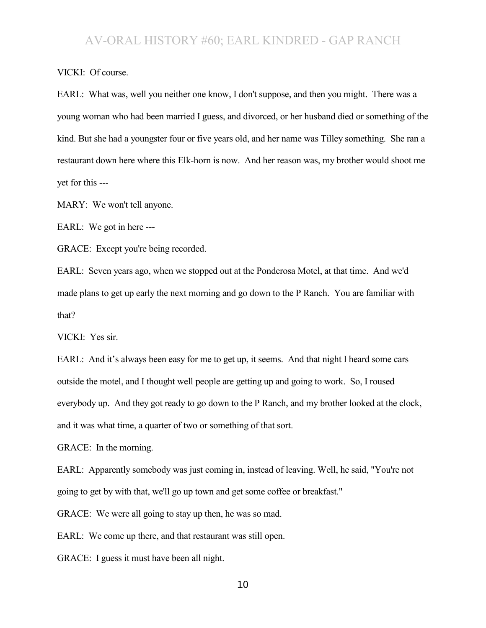VICKI: Of course.

EARL: What was, well you neither one know, I don't suppose, and then you might. There was a young woman who had been married I guess, and divorced, or her husband died or something of the kind. But she had a youngster four or five years old, and her name was Tilley something. She ran a restaurant down here where this Elk-horn is now. And her reason was, my brother would shoot me yet for this ---

MARY: We won't tell anyone.

EARL: We got in here ---

GRACE: Except you're being recorded.

EARL: Seven years ago, when we stopped out at the Ponderosa Motel, at that time. And we'd made plans to get up early the next morning and go down to the P Ranch. You are familiar with that?

VICKI: Yes sir.

EARL: And it's always been easy for me to get up, it seems. And that night I heard some cars outside the motel, and I thought well people are getting up and going to work. So, I roused everybody up. And they got ready to go down to the P Ranch, and my brother looked at the clock, and it was what time, a quarter of two or something of that sort.

GRACE: In the morning.

EARL: Apparently somebody was just coming in, instead of leaving. Well, he said, "You're not going to get by with that, we'll go up town and get some coffee or breakfast."

GRACE: We were all going to stay up then, he was so mad.

EARL: We come up there, and that restaurant was still open.

GRACE: I guess it must have been all night.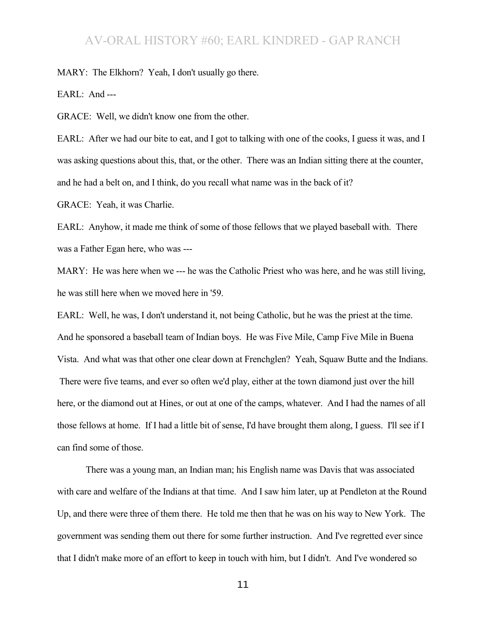MARY: The Elkhorn? Yeah, I don't usually go there.

EARL: And ---

GRACE: Well, we didn't know one from the other.

EARL: After we had our bite to eat, and I got to talking with one of the cooks, I guess it was, and I was asking questions about this, that, or the other. There was an Indian sitting there at the counter, and he had a belt on, and I think, do you recall what name was in the back of it?

GRACE: Yeah, it was Charlie.

EARL: Anyhow, it made me think of some of those fellows that we played baseball with. There was a Father Egan here, who was ---

MARY: He was here when we --- he was the Catholic Priest who was here, and he was still living, he was still here when we moved here in '59.

EARL: Well, he was, I don't understand it, not being Catholic, but he was the priest at the time. And he sponsored a baseball team of Indian boys. He was Five Mile, Camp Five Mile in Buena Vista. And what was that other one clear down at Frenchglen? Yeah, Squaw Butte and the Indians. There were five teams, and ever so often we'd play, either at the town diamond just over the hill here, or the diamond out at Hines, or out at one of the camps, whatever. And I had the names of all those fellows at home. If I had a little bit of sense, I'd have brought them along, I guess. I'll see if I can find some of those.

There was a young man, an Indian man; his English name was Davis that was associated with care and welfare of the Indians at that time. And I saw him later, up at Pendleton at the Round Up, and there were three of them there. He told me then that he was on his way to New York. The government was sending them out there for some further instruction. And I've regretted ever since that I didn't make more of an effort to keep in touch with him, but I didn't. And I've wondered so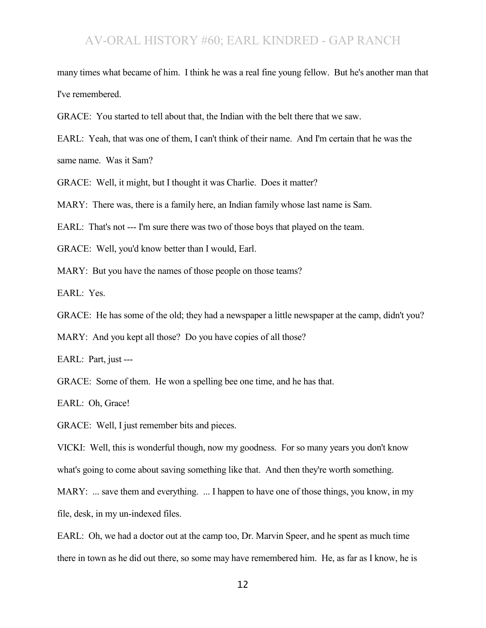many times what became of him. I think he was a real fine young fellow. But he's another man that I've remembered.

GRACE: You started to tell about that, the Indian with the belt there that we saw.

EARL: Yeah, that was one of them, I can't think of their name. And I'm certain that he was the same name. Was it Sam?

GRACE: Well, it might, but I thought it was Charlie. Does it matter?

MARY: There was, there is a family here, an Indian family whose last name is Sam.

EARL: That's not --- I'm sure there was two of those boys that played on the team.

GRACE: Well, you'd know better than I would, Earl.

MARY: But you have the names of those people on those teams?

EARL: Yes.

GRACE: He has some of the old; they had a newspaper a little newspaper at the camp, didn't you?

MARY: And you kept all those? Do you have copies of all those?

EARL: Part, just ---

GRACE: Some of them. He won a spelling bee one time, and he has that.

EARL: Oh, Grace!

GRACE: Well, I just remember bits and pieces.

VICKI: Well, this is wonderful though, now my goodness. For so many years you don't know what's going to come about saving something like that. And then they're worth something.

MARY: ... save them and everything. ... I happen to have one of those things, you know, in my file, desk, in my un-indexed files.

EARL: Oh, we had a doctor out at the camp too, Dr. Marvin Speer, and he spent as much time there in town as he did out there, so some may have remembered him. He, as far as I know, he is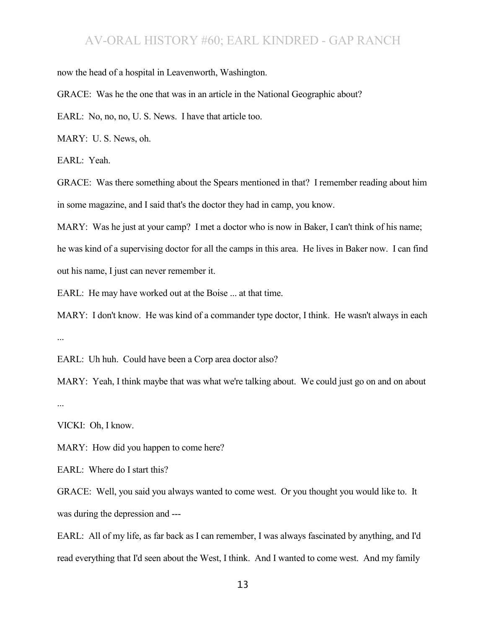now the head of a hospital in Leavenworth, Washington.

GRACE: Was he the one that was in an article in the National Geographic about?

EARL: No, no, no, U. S. News. I have that article too.

MARY: U. S. News, oh.

EARL: Yeah.

GRACE: Was there something about the Spears mentioned in that? I remember reading about him in some magazine, and I said that's the doctor they had in camp, you know.

MARY: Was he just at your camp? I met a doctor who is now in Baker, I can't think of his name;

he was kind of a supervising doctor for all the camps in this area. He lives in Baker now. I can find out his name, I just can never remember it.

EARL: He may have worked out at the Boise ... at that time.

MARY: I don't know. He was kind of a commander type doctor, I think. He wasn't always in each ...

EARL: Uh huh. Could have been a Corp area doctor also?

MARY: Yeah, I think maybe that was what we're talking about. We could just go on and on about ...

VICKI: Oh, I know.

MARY: How did you happen to come here?

EARL: Where do I start this?

GRACE: Well, you said you always wanted to come west. Or you thought you would like to. It was during the depression and ---

EARL: All of my life, as far back as I can remember, I was always fascinated by anything, and I'd read everything that I'd seen about the West, I think. And I wanted to come west. And my family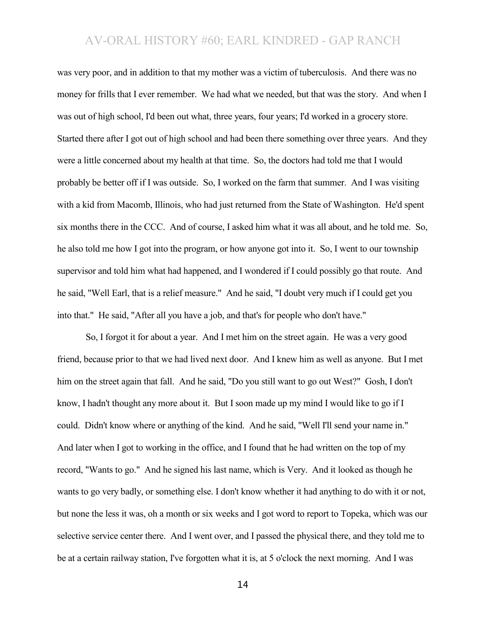was very poor, and in addition to that my mother was a victim of tuberculosis. And there was no money for frills that I ever remember. We had what we needed, but that was the story. And when I was out of high school, I'd been out what, three years, four years; I'd worked in a grocery store. Started there after I got out of high school and had been there something over three years. And they were a little concerned about my health at that time. So, the doctors had told me that I would probably be better off if I was outside. So, I worked on the farm that summer. And I was visiting with a kid from Macomb, Illinois, who had just returned from the State of Washington. He'd spent six months there in the CCC. And of course, I asked him what it was all about, and he told me. So, he also told me how I got into the program, or how anyone got into it. So, I went to our township supervisor and told him what had happened, and I wondered if I could possibly go that route. And he said, "Well Earl, that is a relief measure." And he said, "I doubt very much if I could get you into that." He said, "After all you have a job, and that's for people who don't have."

So, I forgot it for about a year. And I met him on the street again. He was a very good friend, because prior to that we had lived next door. And I knew him as well as anyone. But I met him on the street again that fall. And he said, "Do you still want to go out West?" Gosh, I don't know, I hadn't thought any more about it. But I soon made up my mind I would like to go if I could. Didn't know where or anything of the kind. And he said, "Well I'll send your name in." And later when I got to working in the office, and I found that he had written on the top of my record, "Wants to go." And he signed his last name, which is Very. And it looked as though he wants to go very badly, or something else. I don't know whether it had anything to do with it or not, but none the less it was, oh a month or six weeks and I got word to report to Topeka, which was our selective service center there. And I went over, and I passed the physical there, and they told me to be at a certain railway station, I've forgotten what it is, at 5 o'clock the next morning. And I was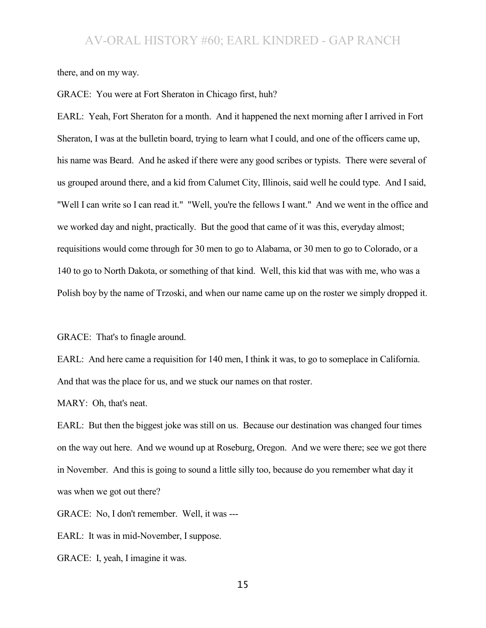there, and on my way.

GRACE: You were at Fort Sheraton in Chicago first, huh?

EARL: Yeah, Fort Sheraton for a month. And it happened the next morning after I arrived in Fort Sheraton, I was at the bulletin board, trying to learn what I could, and one of the officers came up, his name was Beard. And he asked if there were any good scribes or typists. There were several of us grouped around there, and a kid from Calumet City, Illinois, said well he could type. And I said, "Well I can write so I can read it." "Well, you're the fellows I want." And we went in the office and we worked day and night, practically. But the good that came of it was this, everyday almost; requisitions would come through for 30 men to go to Alabama, or 30 men to go to Colorado, or a 140 to go to North Dakota, or something of that kind. Well, this kid that was with me, who was a Polish boy by the name of Trzoski, and when our name came up on the roster we simply dropped it.

GRACE: That's to finagle around.

EARL: And here came a requisition for 140 men, I think it was, to go to someplace in California. And that was the place for us, and we stuck our names on that roster.

MARY: Oh, that's neat.

EARL: But then the biggest joke was still on us. Because our destination was changed four times on the way out here. And we wound up at Roseburg, Oregon. And we were there; see we got there in November. And this is going to sound a little silly too, because do you remember what day it was when we got out there?

GRACE: No, I don't remember. Well, it was ---

EARL: It was in mid-November, I suppose.

GRACE: I, yeah, I imagine it was.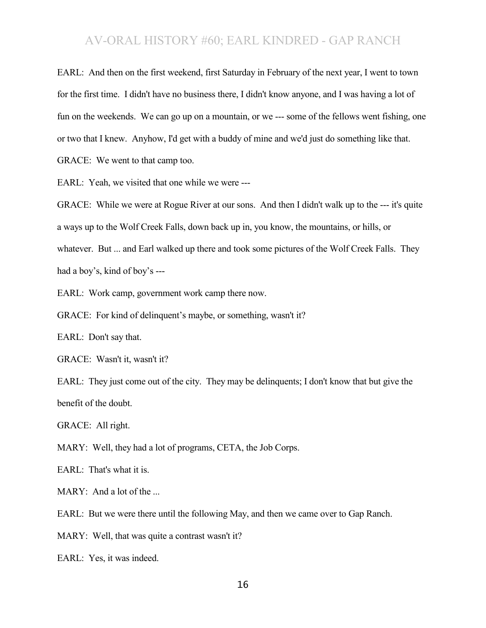EARL: And then on the first weekend, first Saturday in February of the next year, I went to town for the first time. I didn't have no business there, I didn't know anyone, and I was having a lot of fun on the weekends. We can go up on a mountain, or we --- some of the fellows went fishing, one or two that I knew. Anyhow, I'd get with a buddy of mine and we'd just do something like that. GRACE: We went to that camp too.

EARL: Yeah, we visited that one while we were ---

GRACE: While we were at Rogue River at our sons. And then I didn't walk up to the --- it's quite a ways up to the Wolf Creek Falls, down back up in, you know, the mountains, or hills, or whatever. But ... and Earl walked up there and took some pictures of the Wolf Creek Falls. They had a boy's, kind of boy's ---

EARL: Work camp, government work camp there now.

GRACE: For kind of delinquent's maybe, or something, wasn't it?

EARL: Don't say that.

GRACE: Wasn't it, wasn't it?

EARL: They just come out of the city. They may be delinguents; I don't know that but give the benefit of the doubt.

GRACE: All right.

MARY: Well, they had a lot of programs, CETA, the Job Corps.

EARL: That's what it is.

MARY: And a lot of the ...

EARL: But we were there until the following May, and then we came over to Gap Ranch.

MARY: Well, that was quite a contrast wasn't it?

EARL: Yes, it was indeed.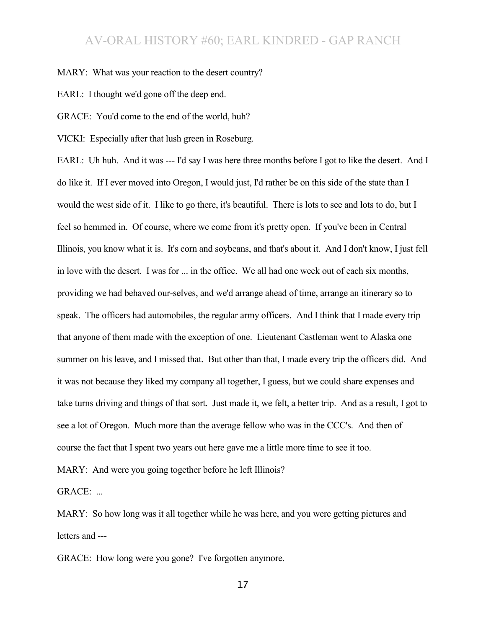MARY: What was your reaction to the desert country?

EARL: I thought we'd gone off the deep end.

GRACE: You'd come to the end of the world, huh?

VICKI: Especially after that lush green in Roseburg.

EARL: Uh huh. And it was --- I'd say I was here three months before I got to like the desert. And I do like it. If I ever moved into Oregon, I would just, I'd rather be on this side of the state than I would the west side of it. I like to go there, it's beautiful. There is lots to see and lots to do, but I feel so hemmed in. Of course, where we come from it's pretty open. If you've been in Central Illinois, you know what it is. It's corn and soybeans, and that's about it. And I don't know, I just fell in love with the desert. I was for ... in the office. We all had one week out of each six months, providing we had behaved our-selves, and we'd arrange ahead of time, arrange an itinerary so to speak. The officers had automobiles, the regular army officers. And I think that I made every trip that anyone of them made with the exception of one. Lieutenant Castleman went to Alaska one summer on his leave, and I missed that. But other than that, I made every trip the officers did. And it was not because they liked my company all together, I guess, but we could share expenses and take turns driving and things of that sort. Just made it, we felt, a better trip. And as a result, I got to see a lot of Oregon. Much more than the average fellow who was in the CCC's. And then of course the fact that I spent two years out here gave me a little more time to see it too.

MARY: And were you going together before he left Illinois?

GRACE: ...

MARY: So how long was it all together while he was here, and you were getting pictures and letters and ---

GRACE: How long were you gone? I've forgotten anymore.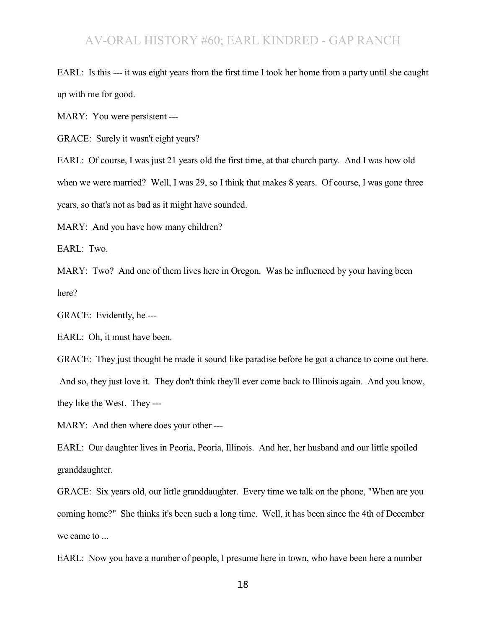EARL: Is this --- it was eight years from the first time I took her home from a party until she caught up with me for good.

MARY: You were persistent ---

GRACE: Surely it wasn't eight years?

EARL: Of course, I was just 21 years old the first time, at that church party. And I was how old when we were married? Well, I was 29, so I think that makes 8 years. Of course, I was gone three years, so that's not as bad as it might have sounded.

MARY: And you have how many children?

EARL: Two.

MARY: Two? And one of them lives here in Oregon. Was he influenced by your having been here?

GRACE: Evidently, he ---

EARL: Oh, it must have been.

GRACE: They just thought he made it sound like paradise before he got a chance to come out here. And so, they just love it. They don't think they'll ever come back to Illinois again. And you know, they like the West. They ---

MARY: And then where does your other ---

EARL: Our daughter lives in Peoria, Peoria, Illinois. And her, her husband and our little spoiled granddaughter.

GRACE: Six years old, our little granddaughter. Every time we talk on the phone, "When are you coming home?" She thinks it's been such a long time. Well, it has been since the 4th of December we came to ...

EARL: Now you have a number of people, I presume here in town, who have been here a number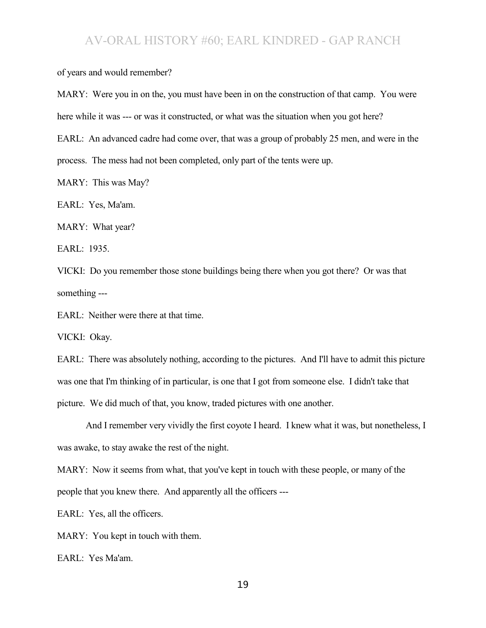of years and would remember?

MARY: Were you in on the, you must have been in on the construction of that camp. You were here while it was --- or was it constructed, or what was the situation when you got here?

EARL: An advanced cadre had come over, that was a group of probably 25 men, and were in the process. The mess had not been completed, only part of the tents were up.

MARY: This was May?

EARL: Yes, Ma'am.

MARY: What year?

EARL: 1935.

VICKI: Do you remember those stone buildings being there when you got there? Or was that something ---

EARL: Neither were there at that time.

VICKI: Okay.

EARL: There was absolutely nothing, according to the pictures. And I'll have to admit this picture was one that I'm thinking of in particular, is one that I got from someone else. I didn't take that picture. We did much of that, you know, traded pictures with one another.

And I remember very vividly the first coyote I heard. I knew what it was, but nonetheless, I was awake, to stay awake the rest of the night.

MARY: Now it seems from what, that you've kept in touch with these people, or many of the

people that you knew there. And apparently all the officers ---

EARL: Yes, all the officers.

MARY: You kept in touch with them.

EARL: Yes Ma'am.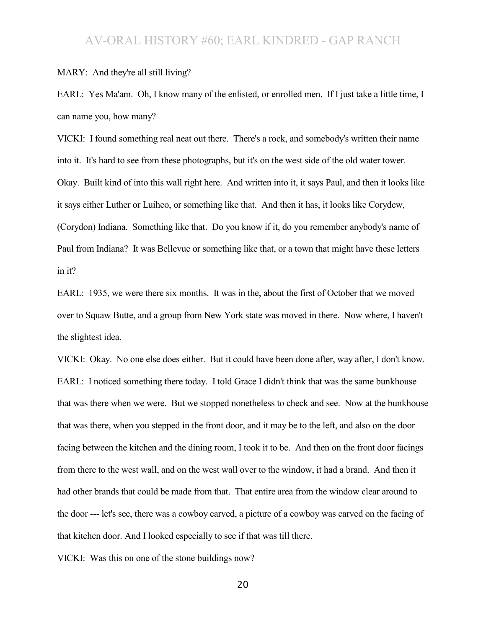#### MARY: And they're all still living?

EARL: Yes Ma'am. Oh, I know many of the enlisted, or enrolled men. If I just take a little time, I can name you, how many?

VICKI: I found something real neat out there. There's a rock, and somebody's written their name into it. It's hard to see from these photographs, but it's on the west side of the old water tower. Okay. Built kind of into this wall right here. And written into it, it says Paul, and then it looks like it says either Luther or Luiheo, or something like that. And then it has, it looks like Corydew, (Corydon) Indiana. Something like that. Do you know if it, do you remember anybody's name of Paul from Indiana? It was Bellevue or something like that, or a town that might have these letters in it?

EARL: 1935, we were there six months. It was in the, about the first of October that we moved over to Squaw Butte, and a group from New York state was moved in there. Now where, I haven't the slightest idea.

VICKI: Okay. No one else does either. But it could have been done after, way after, I don't know. EARL: I noticed something there today. I told Grace I didn't think that was the same bunkhouse that was there when we were. But we stopped nonetheless to check and see. Now at the bunkhouse that was there, when you stepped in the front door, and it may be to the left, and also on the door facing between the kitchen and the dining room, I took it to be. And then on the front door facings from there to the west wall, and on the west wall over to the window, it had a brand. And then it had other brands that could be made from that. That entire area from the window clear around to the door --- let's see, there was a cowboy carved, a picture of a cowboy was carved on the facing of that kitchen door. And I looked especially to see if that was till there.

VICKI: Was this on one of the stone buildings now?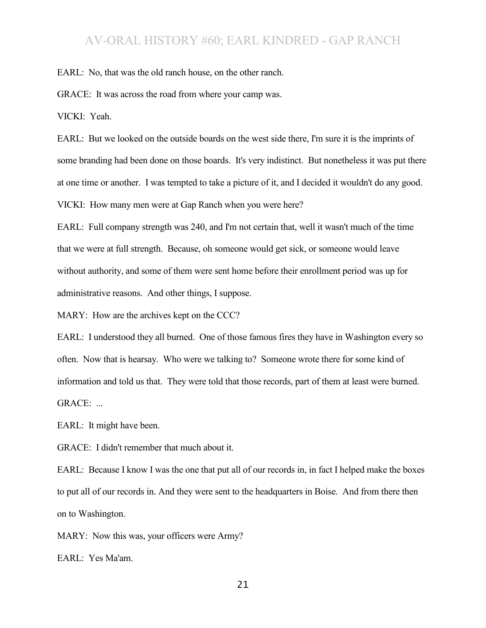EARL: No, that was the old ranch house, on the other ranch.

GRACE: It was across the road from where your camp was.

VICKI: Yeah.

EARL: But we looked on the outside boards on the west side there, I'm sure it is the imprints of some branding had been done on those boards. It's very indistinct. But nonetheless it was put there at one time or another. I was tempted to take a picture of it, and I decided it wouldn't do any good. VICKI: How many men were at Gap Ranch when you were here?

EARL: Full company strength was 240, and I'm not certain that, well it wasn't much of the time that we were at full strength. Because, oh someone would get sick, or someone would leave without authority, and some of them were sent home before their enrollment period was up for administrative reasons. And other things, I suppose.

MARY: How are the archives kept on the CCC?

EARL: I understood they all burned. One of those famous fires they have in Washington every so often. Now that is hearsay. Who were we talking to? Someone wrote there for some kind of information and told us that. They were told that those records, part of them at least were burned. GRACE: ...

EARL: It might have been.

GRACE: I didn't remember that much about it.

EARL: Because I know I was the one that put all of our records in, in fact I helped make the boxes to put all of our records in. And they were sent to the headquarters in Boise. And from there then on to Washington.

MARY: Now this was, your officers were Army?

EARL: Yes Ma'am.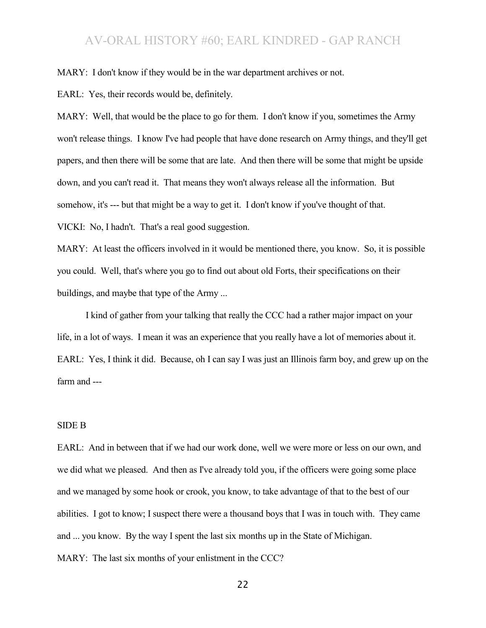MARY: I don't know if they would be in the war department archives or not.

EARL: Yes, their records would be, definitely.

MARY: Well, that would be the place to go for them. I don't know if you, sometimes the Army won't release things. I know I've had people that have done research on Army things, and they'll get papers, and then there will be some that are late. And then there will be some that might be upside down, and you can't read it. That means they won't always release all the information. But somehow, it's --- but that might be a way to get it. I don't know if you've thought of that. VICKI: No, I hadn't. That's a real good suggestion.

MARY: At least the officers involved in it would be mentioned there, you know. So, it is possible you could. Well, that's where you go to find out about old Forts, their specifications on their buildings, and maybe that type of the Army ...

I kind of gather from your talking that really the CCC had a rather major impact on your life, in a lot of ways. I mean it was an experience that you really have a lot of memories about it. EARL: Yes, I think it did. Because, oh I can say I was just an Illinois farm boy, and grew up on the farm and ---

#### SIDE B

EARL: And in between that if we had our work done, well we were more or less on our own, and we did what we pleased. And then as I've already told you, if the officers were going some place and we managed by some hook or crook, you know, to take advantage of that to the best of our abilities. I got to know; I suspect there were a thousand boys that I was in touch with. They came and ... you know. By the way I spent the last six months up in the State of Michigan. MARY: The last six months of your enlistment in the CCC?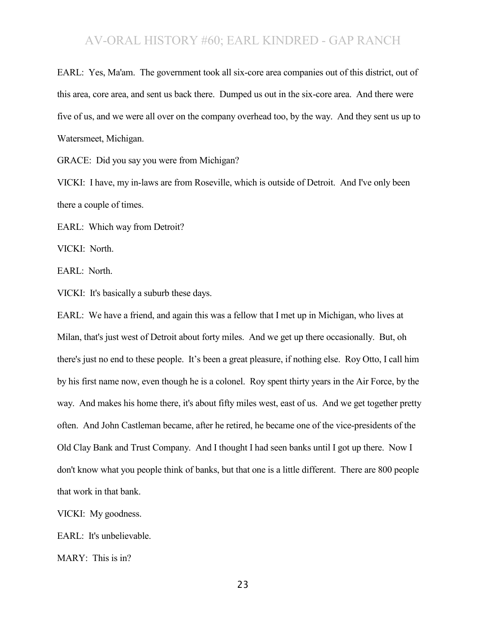EARL: Yes, Ma'am. The government took all six-core area companies out of this district, out of this area, core area, and sent us back there. Dumped us out in the six-core area. And there were five of us, and we were all over on the company overhead too, by the way. And they sent us up to Watersmeet, Michigan.

GRACE: Did you say you were from Michigan?

VICKI: I have, my in-laws are from Roseville, which is outside of Detroit. And I've only been there a couple of times.

EARL: Which way from Detroit?

VICKI: North.

EARL: North.

VICKI: It's basically a suburb these days.

EARL: We have a friend, and again this was a fellow that I met up in Michigan, who lives at Milan, that's just west of Detroit about forty miles. And we get up there occasionally. But, oh there's just no end to these people. It's been a great pleasure, if nothing else. Roy Otto, I call him by his first name now, even though he is a colonel. Roy spent thirty years in the Air Force, by the way. And makes his home there, it's about fifty miles west, east of us. And we get together pretty often. And John Castleman became, after he retired, he became one of the vice-presidents of the Old Clay Bank and Trust Company. And I thought I had seen banks until I got up there. Now I don't know what you people think of banks, but that one is a little different. There are 800 people that work in that bank.

VICKI: My goodness.

EARL: It's unbelievable.

MARY: This is in?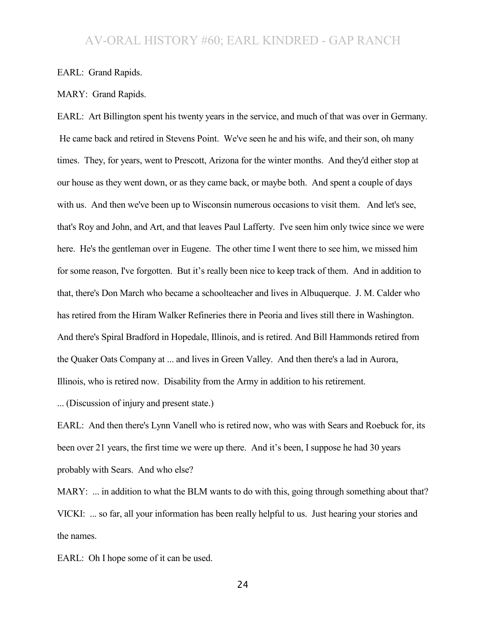EARL: Grand Rapids.

MARY: Grand Rapids.

EARL: Art Billington spent his twenty years in the service, and much of that was over in Germany. He came back and retired in Stevens Point. We've seen he and his wife, and their son, oh many times. They, for years, went to Prescott, Arizona for the winter months. And they'd either stop at our house as they went down, or as they came back, or maybe both. And spent a couple of days with us. And then we've been up to Wisconsin numerous occasions to visit them. And let's see, that's Roy and John, and Art, and that leaves Paul Lafferty. I've seen him only twice since we were here. He's the gentleman over in Eugene. The other time I went there to see him, we missed him for some reason, I've forgotten. But it's really been nice to keep track of them. And in addition to that, there's Don March who became a schoolteacher and lives in Albuquerque. J. M. Calder who has retired from the Hiram Walker Refineries there in Peoria and lives still there in Washington. And there's Spiral Bradford in Hopedale, Illinois, and is retired. And Bill Hammonds retired from the Quaker Oats Company at ... and lives in Green Valley. And then there's a lad in Aurora, Illinois, who is retired now. Disability from the Army in addition to his retirement.

... (Discussion of injury and present state.)

EARL: And then there's Lynn Vanell who is retired now, who was with Sears and Roebuck for, its been over 21 years, the first time we were up there. And it's been, I suppose he had 30 years probably with Sears. And who else?

MARY: ... in addition to what the BLM wants to do with this, going through something about that? VICKI: ... so far, all your information has been really helpful to us. Just hearing your stories and the names.

EARL: Oh I hope some of it can be used.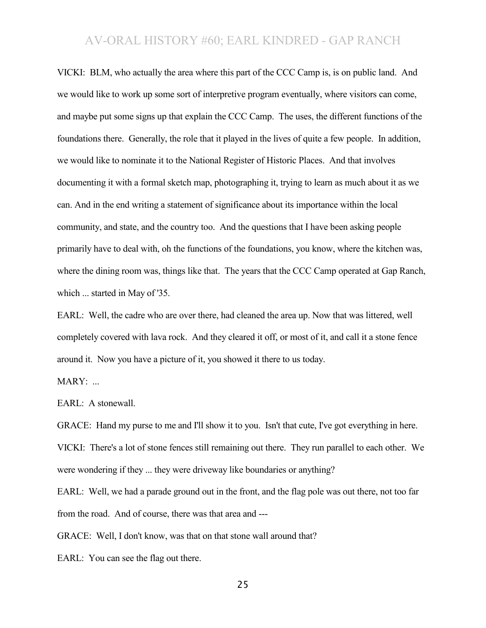VICKI: BLM, who actually the area where this part of the CCC Camp is, is on public land. And we would like to work up some sort of interpretive program eventually, where visitors can come, and maybe put some signs up that explain the CCC Camp. The uses, the different functions of the foundations there. Generally, the role that it played in the lives of quite a few people. In addition, we would like to nominate it to the National Register of Historic Places. And that involves documenting it with a formal sketch map, photographing it, trying to learn as much about it as we can. And in the end writing a statement of significance about its importance within the local community, and state, and the country too. And the questions that I have been asking people primarily have to deal with, oh the functions of the foundations, you know, where the kitchen was, where the dining room was, things like that. The years that the CCC Camp operated at Gap Ranch, which ... started in May of '35.

EARL: Well, the cadre who are over there, had cleaned the area up. Now that was littered, well completely covered with lava rock. And they cleared it off, or most of it, and call it a stone fence around it. Now you have a picture of it, you showed it there to us today.

 $MARY:$ ...

EARL: A stonewall.

GRACE: Hand my purse to me and I'll show it to you. Isn't that cute, I've got everything in here. VICKI: There's a lot of stone fences still remaining out there. They run parallel to each other. We were wondering if they ... they were driveway like boundaries or anything?

EARL: Well, we had a parade ground out in the front, and the flag pole was out there, not too far from the road. And of course, there was that area and ---

GRACE: Well, I don't know, was that on that stone wall around that?

EARL: You can see the flag out there.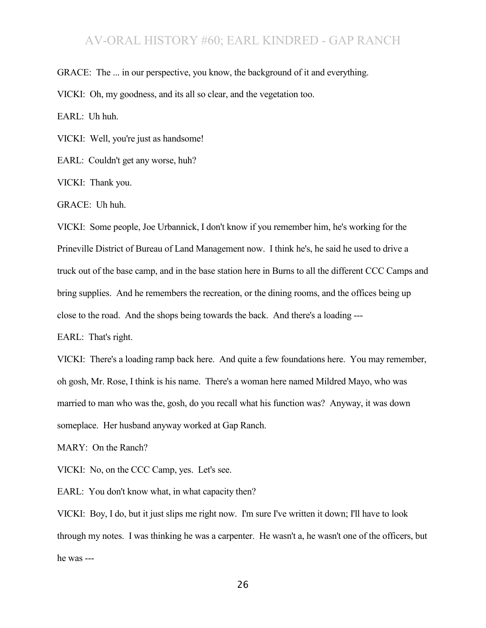GRACE: The ... in our perspective, you know, the background of it and everything.

VICKI: Oh, my goodness, and its all so clear, and the vegetation too.

EARL: Uh huh.

VICKI: Well, you're just as handsome!

EARL: Couldn't get any worse, huh?

VICKI: Thank you.

GRACE: Uh huh.

VICKI: Some people, Joe Urbannick, I don't know if you remember him, he's working for the Prineville District of Bureau of Land Management now. I think he's, he said he used to drive a truck out of the base camp, and in the base station here in Burns to all the different CCC Camps and bring supplies. And he remembers the recreation, or the dining rooms, and the offices being up close to the road. And the shops being towards the back. And there's a loading ---

EARL: That's right.

VICKI: There's a loading ramp back here. And quite a few foundations here. You may remember, oh gosh, Mr. Rose, I think is his name. There's a woman here named Mildred Mayo, who was married to man who was the, gosh, do you recall what his function was? Anyway, it was down someplace. Her husband anyway worked at Gap Ranch.

MARY: On the Ranch?

VICKI: No, on the CCC Camp, yes. Let's see.

EARL: You don't know what, in what capacity then?

VICKI: Boy, I do, but it just slips me right now. I'm sure I've written it down; I'll have to look through my notes. I was thinking he was a carpenter. He wasn't a, he wasn't one of the officers, but he was ---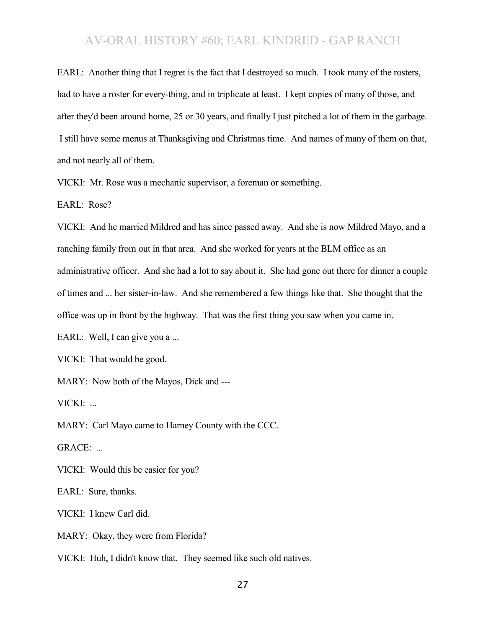EARL: Another thing that I regret is the fact that I destroyed so much. I took many of the rosters, had to have a roster for every-thing, and in triplicate at least. I kept copies of many of those, and after they'd been around home, 25 or 30 years, and finally I just pitched a lot of them in the garbage. I still have some menus at Thanksgiving and Christmas time. And names of many of them on that, and not nearly all of them.

VICKI: Mr. Rose was a mechanic supervisor, a foreman or something.

EARL: Rose?

VICKI: And he married Mildred and has since passed away. And she is now Mildred Mayo, and a ranching family from out in that area. And she worked for years at the BLM office as an administrative officer. And she had a lot to say about it. She had gone out there for dinner a couple of times and ... her sister-in-law. And she remembered a few things like that. She thought that the office was up in front by the highway. That was the first thing you saw when you came in.

EARL: Well, I can give you a ...

VICKI: That would be good.

MARY: Now both of the Mayos, Dick and ---

VICKI: ...

MARY: Carl Mayo came to Harney County with the CCC.

GRACE: ...

VICKI: Would this be easier for you?

EARL: Sure, thanks.

VICKI: I knew Carl did.

MARY: Okay, they were from Florida?

VICKI: Huh, I didn't know that. They seemed like such old natives.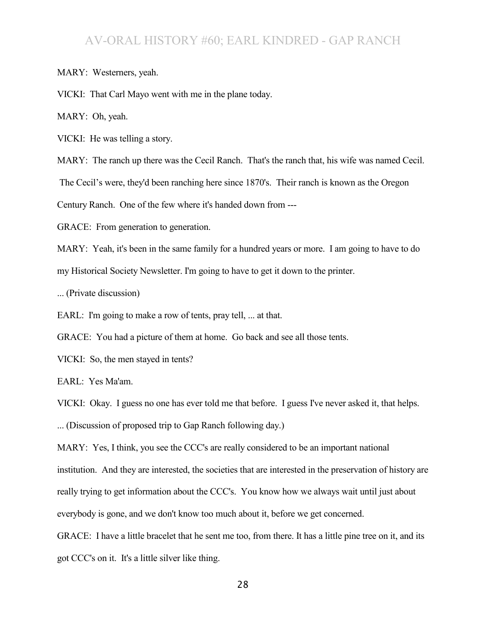MARY: Westerners, yeah.

VICKI: That Carl Mayo went with me in the plane today.

MARY: Oh, yeah.

VICKI: He was telling a story.

MARY: The ranch up there was the Cecil Ranch. That's the ranch that, his wife was named Cecil.

The Cecil's were, they'd been ranching here since 1870's. Their ranch is known as the Oregon

Century Ranch. One of the few where it's handed down from ---

GRACE: From generation to generation.

MARY: Yeah, it's been in the same family for a hundred years or more. I am going to have to do my Historical Society Newsletter. I'm going to have to get it down to the printer.

... (Private discussion)

EARL: I'm going to make a row of tents, pray tell, ... at that.

GRACE: You had a picture of them at home. Go back and see all those tents.

VICKI: So, the men stayed in tents?

EARL: Yes Ma'am.

VICKI: Okay. I guess no one has ever told me that before. I guess I've never asked it, that helps.

... (Discussion of proposed trip to Gap Ranch following day.)

MARY: Yes, I think, you see the CCC's are really considered to be an important national institution. And they are interested, the societies that are interested in the preservation of history are really trying to get information about the CCC's. You know how we always wait until just about everybody is gone, and we don't know too much about it, before we get concerned.

GRACE: I have a little bracelet that he sent me too, from there. It has a little pine tree on it, and its got CCC's on it. It's a little silver like thing.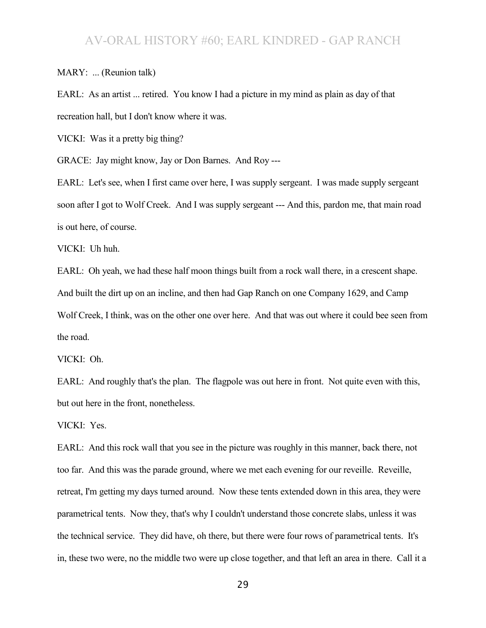MARY: ... (Reunion talk)

EARL: As an artist ... retired. You know I had a picture in my mind as plain as day of that recreation hall, but I don't know where it was.

VICKI: Was it a pretty big thing?

GRACE: Jay might know, Jay or Don Barnes. And Roy ---

EARL: Let's see, when I first came over here, I was supply sergeant. I was made supply sergeant soon after I got to Wolf Creek. And I was supply sergeant --- And this, pardon me, that main road is out here, of course.

VICKI: Uh huh.

EARL: Oh yeah, we had these half moon things built from a rock wall there, in a crescent shape. And built the dirt up on an incline, and then had Gap Ranch on one Company 1629, and Camp Wolf Creek, I think, was on the other one over here. And that was out where it could bee seen from the road.

VICKI: Oh.

EARL: And roughly that's the plan. The flagpole was out here in front. Not quite even with this, but out here in the front, nonetheless.

VICKI: Yes.

EARL: And this rock wall that you see in the picture was roughly in this manner, back there, not too far. And this was the parade ground, where we met each evening for our reveille. Reveille, retreat, I'm getting my days turned around. Now these tents extended down in this area, they were parametrical tents. Now they, that's why I couldn't understand those concrete slabs, unless it was the technical service. They did have, oh there, but there were four rows of parametrical tents. It's in, these two were, no the middle two were up close together, and that left an area in there. Call it a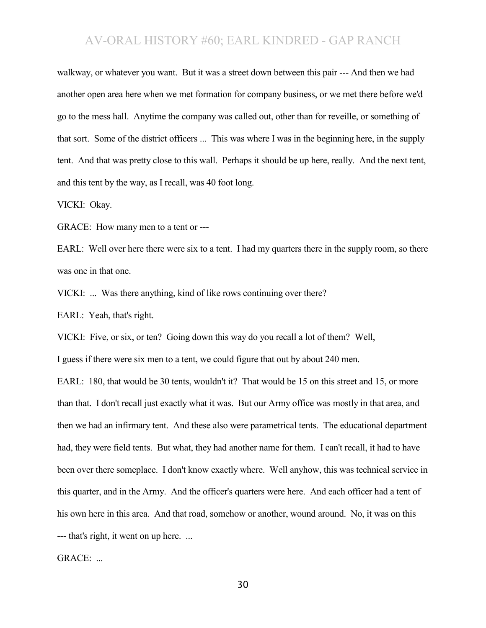walkway, or whatever you want. But it was a street down between this pair --- And then we had another open area here when we met formation for company business, or we met there before we'd go to the mess hall. Anytime the company was called out, other than for reveille, or something of that sort. Some of the district officers ... This was where I was in the beginning here, in the supply tent. And that was pretty close to this wall. Perhaps it should be up here, really. And the next tent, and this tent by the way, as I recall, was 40 foot long.

VICKI: Okay.

GRACE: How many men to a tent or ---

EARL: Well over here there were six to a tent. I had my quarters there in the supply room, so there was one in that one.

VICKI: ... Was there anything, kind of like rows continuing over there?

EARL: Yeah, that's right.

VICKI: Five, or six, or ten? Going down this way do you recall a lot of them? Well,

I guess if there were six men to a tent, we could figure that out by about 240 men.

EARL: 180, that would be 30 tents, wouldn't it? That would be 15 on this street and 15, or more than that. I don't recall just exactly what it was. But our Army office was mostly in that area, and then we had an infirmary tent. And these also were parametrical tents. The educational department had, they were field tents. But what, they had another name for them. I can't recall, it had to have been over there someplace. I don't know exactly where. Well anyhow, this was technical service in this quarter, and in the Army. And the officer's quarters were here. And each officer had a tent of his own here in this area. And that road, somehow or another, wound around. No, it was on this --- that's right, it went on up here. ...

GRACE: ...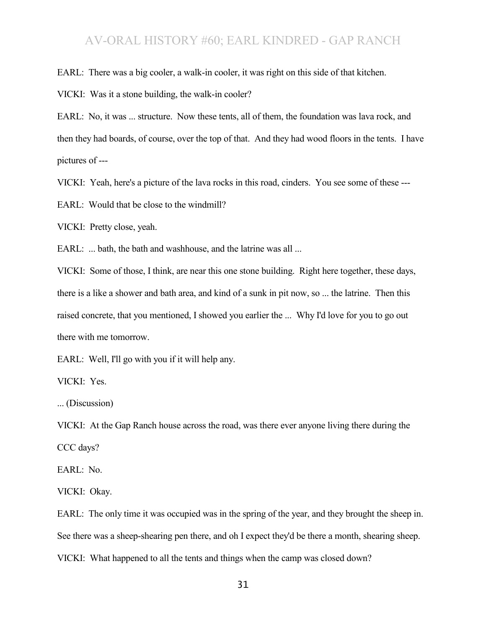EARL: There was a big cooler, a walk-in cooler, it was right on this side of that kitchen.

VICKI: Was it a stone building, the walk-in cooler?

EARL: No, it was ... structure. Now these tents, all of them, the foundation was lava rock, and then they had boards, of course, over the top of that. And they had wood floors in the tents. I have pictures of ---

VICKI: Yeah, here's a picture of the lava rocks in this road, cinders. You see some of these ---

EARL: Would that be close to the windmill?

VICKI: Pretty close, yeah.

EARL: ... bath, the bath and washhouse, and the latrine was all ...

VICKI: Some of those, I think, are near this one stone building. Right here together, these days, there is a like a shower and bath area, and kind of a sunk in pit now, so ... the latrine. Then this raised concrete, that you mentioned, I showed you earlier the ... Why I'd love for you to go out there with me tomorrow.

EARL: Well, I'll go with you if it will help any.

VICKI: Yes.

... (Discussion)

VICKI: At the Gap Ranch house across the road, was there ever anyone living there during the CCC days?

EARL: No.

VICKI: Okay.

EARL: The only time it was occupied was in the spring of the year, and they brought the sheep in. See there was a sheep-shearing pen there, and oh I expect they'd be there a month, shearing sheep. VICKI: What happened to all the tents and things when the camp was closed down?